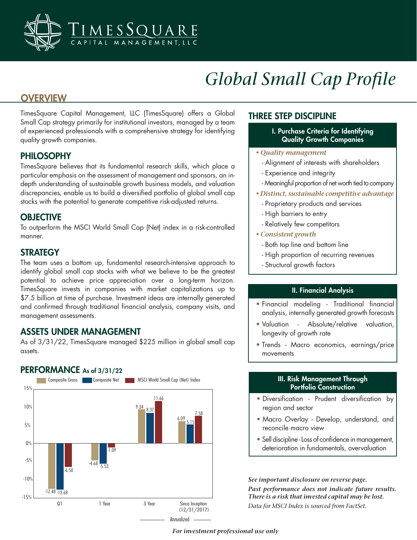

# *Global Small Cap Profile*

# **OVERVIEW**

TimesSquare Capital Management, LLC (TimesSquare) offers a Global Small Cap strategy primarily for institutional investors, managed by a team of experienced professionals with a comprehensive strategy for identifying quality growth companies.

# PHILOSOPHY

TimesSquare believes that its fundamental research skills, which place a particular emphasis on the assessment of management and sponsors, an indepth understanding of sustainable growth business models, and valuation discrepancies, enable us to build a diversified portfolio of global small cap stocks with the potential to generate competitive risk-adjusted returns.

## **OBJECTIVE**

To outperform the MSCI World Small Cap (Net) index in a risk-controlled manner.

## **STRATEGY**

The team uses a bottom up, fundamental research-intensive approach to identify global small cap stocks with what we believe to be the greatest potential to achieve price appreciation over a long-term horizon. TimesSquare invests in companies with market capitalizations up to \$7.5 billion at time of purchase. Investment ideas are internally generated and confirmed through traditional financial analysis, company visits, and management assessments.

# ASSETS UNDER MANAGEMENT

PERFORMANCE As of 3/31/22

As of 3/31/22, TimesSquare managed \$225 million in global small cap assets.

#### -15% -10% -5% 0% 5% 10% 15% Composite Gross **Composite Net Composite Net Composite Composite Composite Net Composite Net Composite Net Composite Net Composite Net Composite Net Composite Net Composite Net Composite Net Composite Net Composite Net Com** Since Inception (12/31/2017) Q1 1 Year 3 Year  $-12.48 - 12.68$  $-6.50$ -5.53 -1.09  $-4.68$ 8.37 11.66 9.34 6.09 7.58

## THREE STEP DISCIPLINE

- I. Purchase Criteria for Identifying Quality Growth Companies
- *Quality management*
	- Alignment of interests with shareholders
	- Experience and integrity
	- Meaningful proportion of net worth tied to company
- *Distinct, sustainable competitive advantage*
	- Proprietary products and services
	- High barriers to entry
- Relatively few competitors
- *Consistent growth*
	- Both top line and bottom line
	- High proportion of recurring revenues
	- Structural growth factors

#### II. Financial Analysis

- Financial modeling Traditional financial analysis, internally generated growth forecasts
- Valuation Absolute/relative valuation, longevity of growth rate
- Trends Macro economics, earnings/price movements

#### III. Risk Management Through Portfolio Construction

- Diversification Prudent diversification by region and sector
- Macro Overlay Develop, understand, and reconcile macro view
- Sell discipline Loss of confidence in management, deterioration in fundamentals, overvaluation

*See important disclosure on reverse page. Data for MSCI Index is sourced from FactSet. See important disclosure on reverse page. Past performance does not indicate future results. There is a risk that invested capital may be lost.* 

#### *For investment professional use only*

Annualized